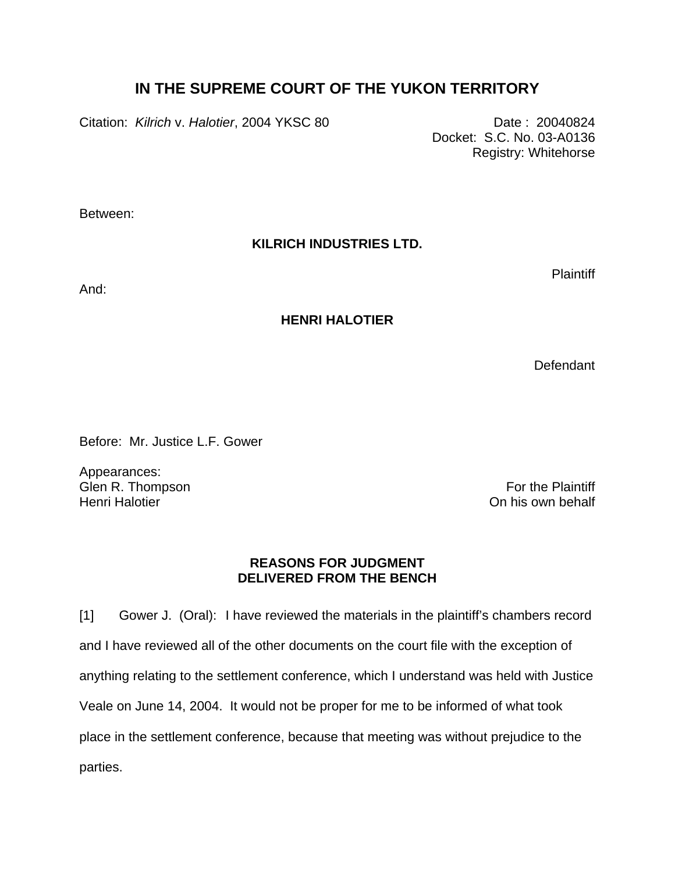## **IN THE SUPREME COURT OF THE YUKON TERRITORY**

Citation: *Kilrich v. Halotier*, 2004 YKSC 80 Date: 20040824

 Docket: S.C. No. 03-A0136 Registry: Whitehorse

Between:

## **KILRICH INDUSTRIES LTD.**

And:

## **HENRI HALOTIER**

Defendant

**Plaintiff** 

Before: Mr. Justice L.F. Gower

Appearances: Glen R. Thompson **For the Plaintiff** Henri Halotier **Network** Channel Channel Channel Channel Channel Channel Channel Channel Channel Channel Channel Channel Channel Channel Channel Channel Channel Channel Channel Channel Channel Channel Channel Channel Chann

## **REASONS FOR JUDGMENT DELIVERED FROM THE BENCH**

[1] Gower J. (Oral): I have reviewed the materials in the plaintiff's chambers record and I have reviewed all of the other documents on the court file with the exception of anything relating to the settlement conference, which I understand was held with Justice Veale on June 14, 2004. It would not be proper for me to be informed of what took place in the settlement conference, because that meeting was without prejudice to the parties.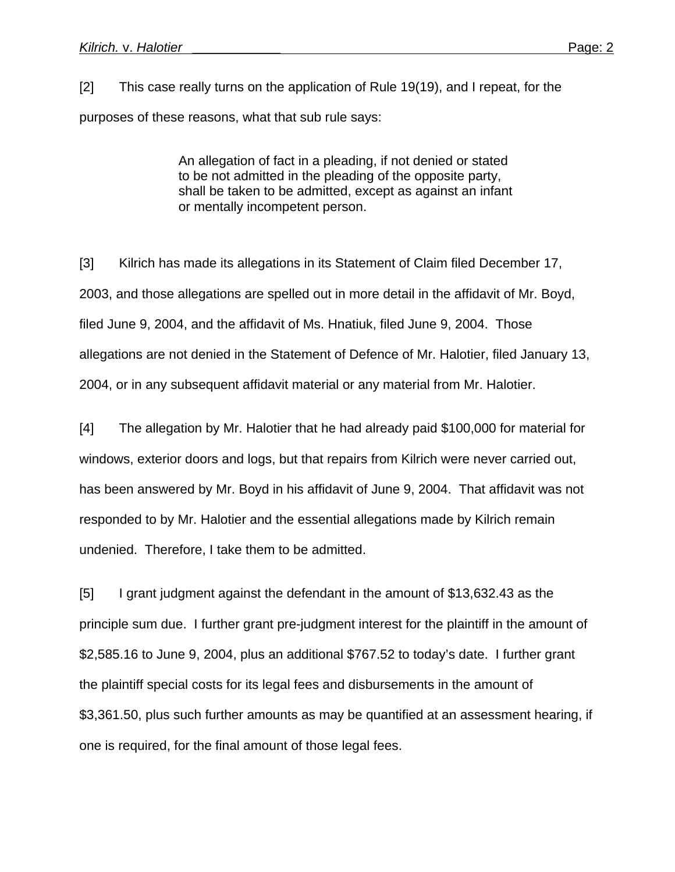[2] This case really turns on the application of Rule 19(19), and I repeat, for the purposes of these reasons, what that sub rule says:

> An allegation of fact in a pleading, if not denied or stated to be not admitted in the pleading of the opposite party, shall be taken to be admitted, except as against an infant or mentally incompetent person.

[3] Kilrich has made its allegations in its Statement of Claim filed December 17, 2003, and those allegations are spelled out in more detail in the affidavit of Mr. Boyd, filed June 9, 2004, and the affidavit of Ms. Hnatiuk, filed June 9, 2004. Those allegations are not denied in the Statement of Defence of Mr. Halotier, filed January 13, 2004, or in any subsequent affidavit material or any material from Mr. Halotier.

[4] The allegation by Mr. Halotier that he had already paid \$100,000 for material for windows, exterior doors and logs, but that repairs from Kilrich were never carried out, has been answered by Mr. Boyd in his affidavit of June 9, 2004. That affidavit was not responded to by Mr. Halotier and the essential allegations made by Kilrich remain undenied. Therefore, I take them to be admitted.

[5] I grant judgment against the defendant in the amount of \$13,632.43 as the principle sum due. I further grant pre-judgment interest for the plaintiff in the amount of \$2,585.16 to June 9, 2004, plus an additional \$767.52 to today's date. I further grant the plaintiff special costs for its legal fees and disbursements in the amount of \$3,361.50, plus such further amounts as may be quantified at an assessment hearing, if one is required, for the final amount of those legal fees.